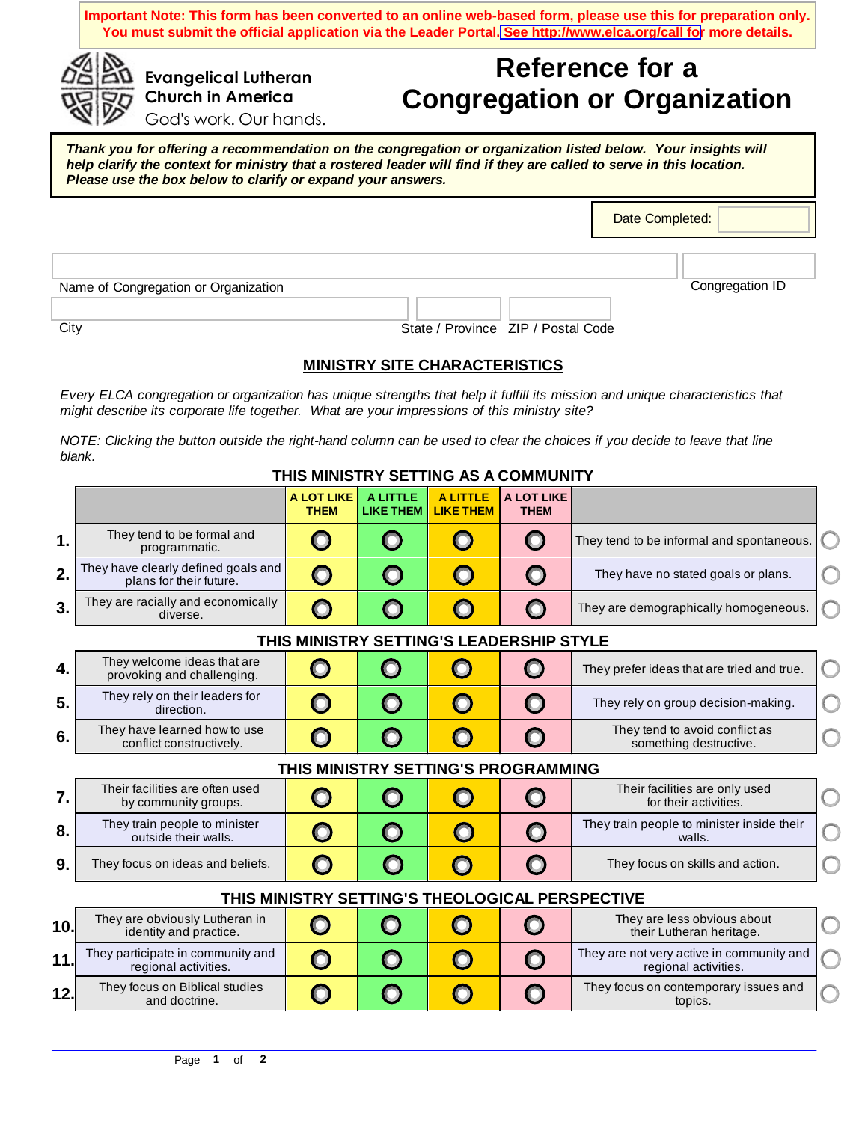**Important Note: This form has been converted to an online web-based form, please use this for preparation only. You must submit the official application via the Leader Portal. [See http://www.elca.org/call for](http://www.elca.org/call) more details.** 

## **Reference for a Congregation or Organization**

God's work. Our hands.

**Evangelical Lutheran Church in America** 

*Thank you for offering a recommendation on the congregation or organization listed below. Your insights will help clarify the context for ministry that a rostered leader will find if they are called to serve in this location. Please use the box below to clarify or expand your answers.*

Date Completed:

| Name of Congregation or Organization |        |           |  | Congregation ID |
|--------------------------------------|--------|-----------|--|-----------------|
|                                      |        |           |  |                 |
| $\sim$                               | $\sim$ | ___ _ _ _ |  |                 |

City **State / Province ZIP / Postal Code** State / Province ZIP / Postal Code

## **MINISTRY SITE CHARACTERISTICS**

*Every ELCA congregation or organization has unique strengths that help it fulfill its mission and unique characteristics that might describe its corporate life together. What are your impressions of this ministry site?* 

*NOTE: Clicking the button outside the right-hand column can be used to clear the choices if you decide to leave that line blank.*

## **THIS MINISTRY SETTING AS A COMMUNITY**

|                                     |                                                                | <b>A LOT LIKE</b><br><b>THEM</b> | <b>ALITTLE</b><br><b>LIKE THEM</b> | <b>A LITTLE</b><br><b>LIKE THEM</b> | <b>A LOT LIKE</b><br><b>THEM</b>                 |                                                                   |    |  |  |
|-------------------------------------|----------------------------------------------------------------|----------------------------------|------------------------------------|-------------------------------------|--------------------------------------------------|-------------------------------------------------------------------|----|--|--|
| $\mathbf 1$ .                       | They tend to be formal and<br>programmatic.                    | $\bullet$                        | $\bigcirc$                         | O                                   | $\bullet$                                        | They tend to be informal and spontaneous.                         |    |  |  |
| 2.                                  | They have clearly defined goals and<br>plans for their future. | O                                | O                                  | $\mathbf O$                         | $\mathbf O$                                      | They have no stated goals or plans.                               |    |  |  |
| 3.                                  | They are racially and economically<br>diverse.                 | O                                | O                                  | O                                   | $\mathbf{O}$                                     | They are demographically homogeneous.                             |    |  |  |
|                                     | THIS MINISTRY SETTING'S LEADERSHIP STYLE                       |                                  |                                    |                                     |                                                  |                                                                   |    |  |  |
| 4.                                  | They welcome ideas that are<br>provoking and challenging.      | $\Box$                           | $\mathbf{O}$                       | $\Box$                              | O                                                | They prefer ideas that are tried and true.                        | C  |  |  |
| 5.                                  | They rely on their leaders for<br>direction.                   | $\bullet$                        | $\boldsymbol{\Theta}$              | O                                   | O                                                | They rely on group decision-making.                               | L  |  |  |
| 6.                                  | They have learned how to use<br>conflict constructively.       | O                                | O                                  | $\Box$                              | O                                                | They tend to avoid conflict as<br>something destructive.          |    |  |  |
| THIS MINISTRY SETTING'S PROGRAMMING |                                                                |                                  |                                    |                                     |                                                  |                                                                   |    |  |  |
| 7.                                  | Their facilities are often used<br>by community groups.        | $\bf{O}$                         | O                                  | O                                   | $\Box$                                           | Their facilities are only used<br>for their activities.           | C  |  |  |
| 8.                                  | They train people to minister<br>outside their walls.          | O                                | O                                  | O                                   | $\mathbf O$                                      | They train people to minister inside their<br>walls.              | L  |  |  |
| 9.                                  | They focus on ideas and beliefs.                               | O                                | $\Box$                             | $\Box$                              | O                                                | They focus on skills and action.                                  | ί. |  |  |
|                                     | THIS MINISTRY SETTING'S THEOLOGICAL PERSPECTIVE                |                                  |                                    |                                     |                                                  |                                                                   |    |  |  |
| 10.                                 | They are obviously Lutheran in<br>identity and practice.       | $\bf{O}$                         | O                                  |                                     | $\mathbf{\mathbf{\mathbf{\mathbf{\mathbf{O}}}}}$ | They are less obvious about<br>their Lutheran heritage.           |    |  |  |
| 11.                                 | They participate in community and<br>regional activities.      | O                                | $\mathbf{O}$                       | $\bigcirc$                          | O                                                | They are not very active in community and<br>regional activities. |    |  |  |
| 12.                                 | They focus on Biblical studies<br>and doctrine.                | O                                | O                                  | $\Box$                              | $\mathbf{O}$                                     | They focus on contemporary issues and<br>topics.                  |    |  |  |